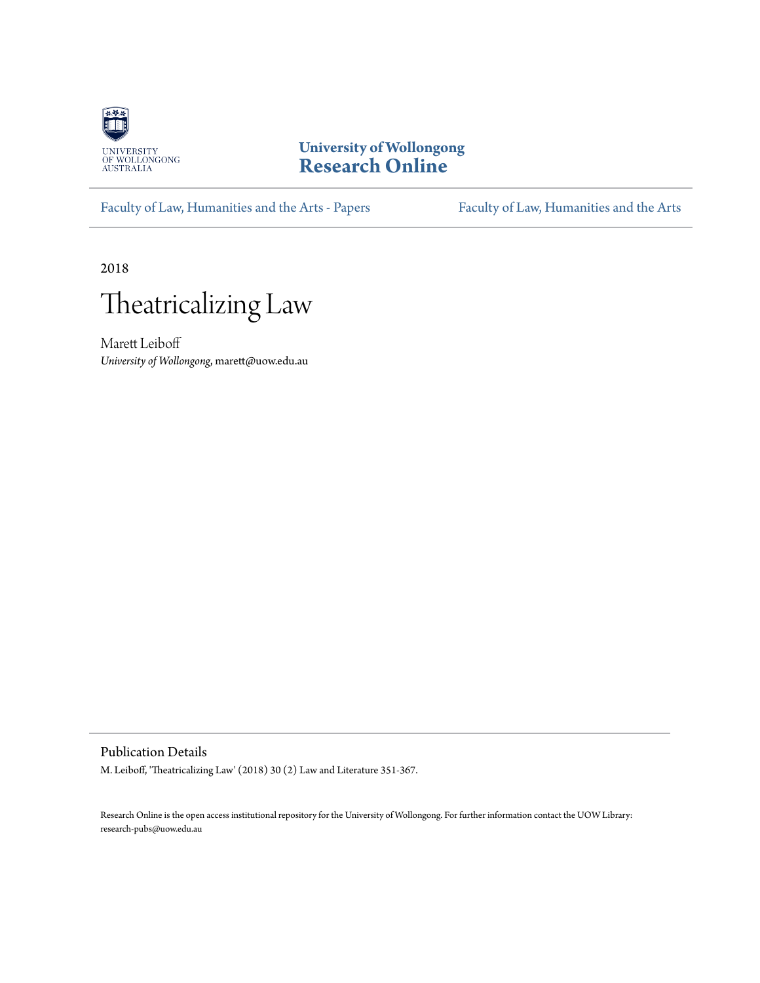

# **University of Wollongong [Research Online](https://ro.uow.edu.au)**

# [Faculty of Law, Humanities and the Arts - Papers](https://ro.uow.edu.au/lhapapers) [Faculty of Law, Humanities and the Arts](https://ro.uow.edu.au/lha)

2018



Marett Leiboff *University of Wollongong*, marett@uow.edu.au

Publication Details

M. Leiboff, 'Theatricalizing Law' (2018) 30 (2) Law and Literature 351-367.

Research Online is the open access institutional repository for the University of Wollongong. For further information contact the UOW Library: research-pubs@uow.edu.au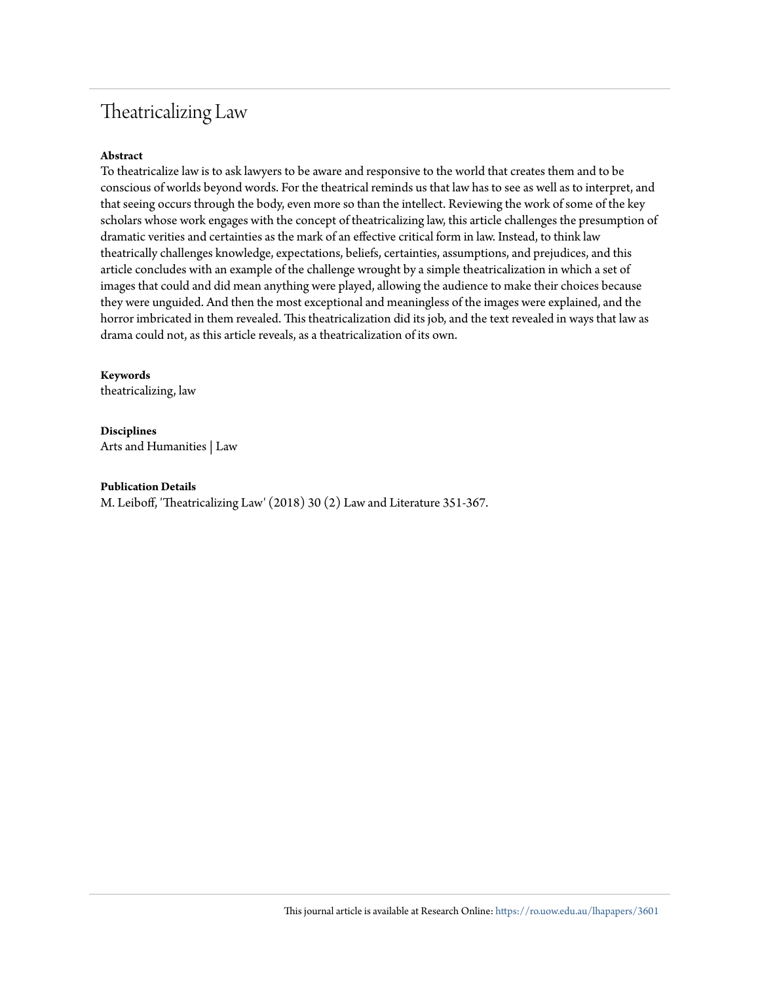# Theatricalizing Law

# **Abstract**

To theatricalize law is to ask lawyers to be aware and responsive to the world that creates them and to be conscious of worlds beyond words. For the theatrical reminds us that law has to see as well as to interpret, and that seeing occurs through the body, even more so than the intellect. Reviewing the work of some of the key scholars whose work engages with the concept of theatricalizing law, this article challenges the presumption of dramatic verities and certainties as the mark of an effective critical form in law. Instead, to think law theatrically challenges knowledge, expectations, beliefs, certainties, assumptions, and prejudices, and this article concludes with an example of the challenge wrought by a simple theatricalization in which a set of images that could and did mean anything were played, allowing the audience to make their choices because they were unguided. And then the most exceptional and meaningless of the images were explained, and the horror imbricated in them revealed. This theatricalization did its job, and the text revealed in ways that law as drama could not, as this article reveals, as a theatricalization of its own.

# **Keywords**

theatricalizing, law

**Disciplines** Arts and Humanities | Law

## **Publication Details**

M. Leiboff, 'Theatricalizing Law' (2018) 30 (2) Law and Literature 351-367.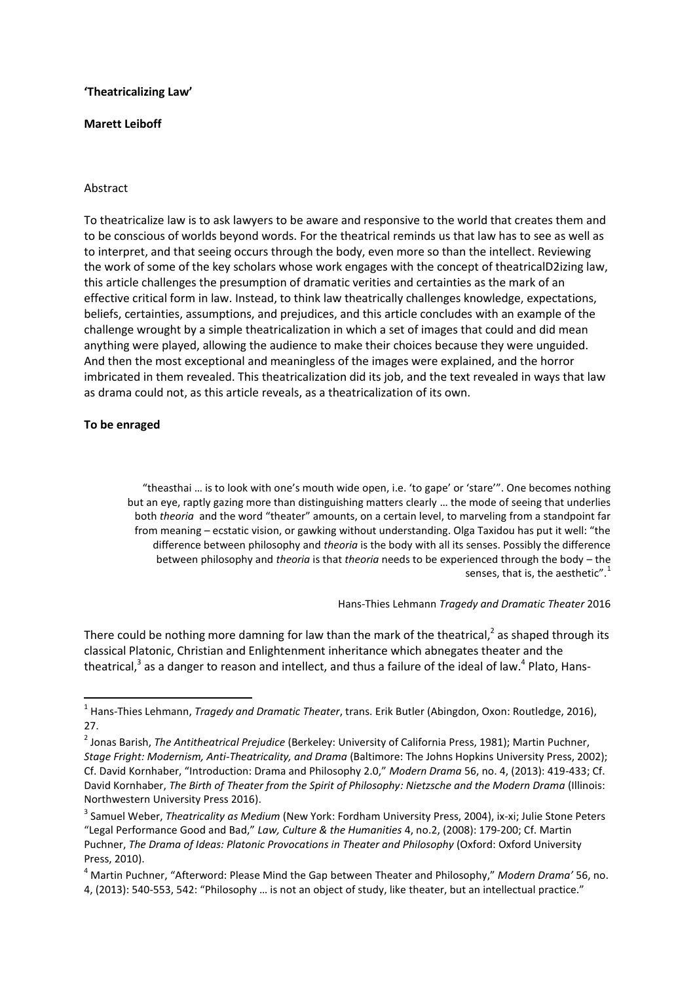## **'Theatricalizing Law'**

# **Marett Leiboff**

# Abstract

To theatricalize law is to ask lawyers to be aware and responsive to the world that creates them and to be conscious of worlds beyond words. For the theatrical reminds us that law has to see as well as to interpret, and that seeing occurs through the body, even more so than the intellect. Reviewing the work of some of the key scholars whose work engages with the concept of theatricalD2izing law, this article challenges the presumption of dramatic verities and certainties as the mark of an effective critical form in law. Instead, to think law theatrically challenges knowledge, expectations, beliefs, certainties, assumptions, and prejudices, and this article concludes with an example of the challenge wrought by a simple theatricalization in which a set of images that could and did mean anything were played, allowing the audience to make their choices because they were unguided. And then the most exceptional and meaningless of the images were explained, and the horror imbricated in them revealed. This theatricalization did its job, and the text revealed in ways that law as drama could not, as this article reveals, as a theatricalization of its own.

# **To be enraged**

**.** 

"theasthai … is to look with one's mouth wide open, i.e. 'to gape' or 'stare'". One becomes nothing but an eye, raptly gazing more than distinguishing matters clearly … the mode of seeing that underlies both *theoria* and the word "theater" amounts, on a certain level, to marveling from a standpoint far from meaning – ecstatic vision, or gawking without understanding. Olga Taxidou has put it well: "the difference between philosophy and *theoria* is the body with all its senses. Possibly the difference between philosophy and *theoria* is that *theoria* needs to be experienced through the body – the senses, that is, the aesthetic". $1$ 

Hans-Thies Lehmann *Tragedy and Dramatic Theater* 2016

There could be nothing more damning for law than the mark of the theatrical,<sup>2</sup> as shaped through its classical Platonic, Christian and Enlightenment inheritance which abnegates theater and the theatrical,<sup>3</sup> as a danger to reason and intellect, and thus a failure of the ideal of law.<sup>4</sup> Plato, Hans-

<sup>1</sup> Hans-Thies Lehmann, *Tragedy and Dramatic Theater*, trans. Erik Butler (Abingdon, Oxon: Routledge, 2016), 27.

<sup>2</sup> Jonas Barish, *The Antitheatrical Prejudice* (Berkeley: University of California Press, 1981); Martin Puchner, *Stage Fright: Modernism, Anti-Theatricality, and Drama* (Baltimore: The Johns Hopkins University Press, 2002); Cf. David Kornhaber, "Introduction: Drama and Philosophy 2.0," *Modern Drama* 56, no. 4, (2013): 419-433; Cf. David Kornhaber, *The Birth of Theater from the Spirit of Philosophy: Nietzsche and the Modern Drama* (Illinois: Northwestern University Press 2016).

<sup>3</sup> Samuel Weber, *Theatricality as Medium* (New York: Fordham University Press, 2004), ix-xi; Julie Stone Peters "Legal Performance Good and Bad," *Law, Culture & the Humanities* 4, no.2, (2008): 179-200; Cf. Martin Puchner, *The Drama of Ideas: Platonic Provocations in Theater and Philosophy* (Oxford: Oxford University Press, 2010).

<sup>4</sup> Martin Puchner, "Afterword: Please Mind the Gap between Theater and Philosophy," *Modern Drama'* 56, no. 4, (2013): 540-553, 542: "Philosophy … is not an object of study, like theater, but an intellectual practice."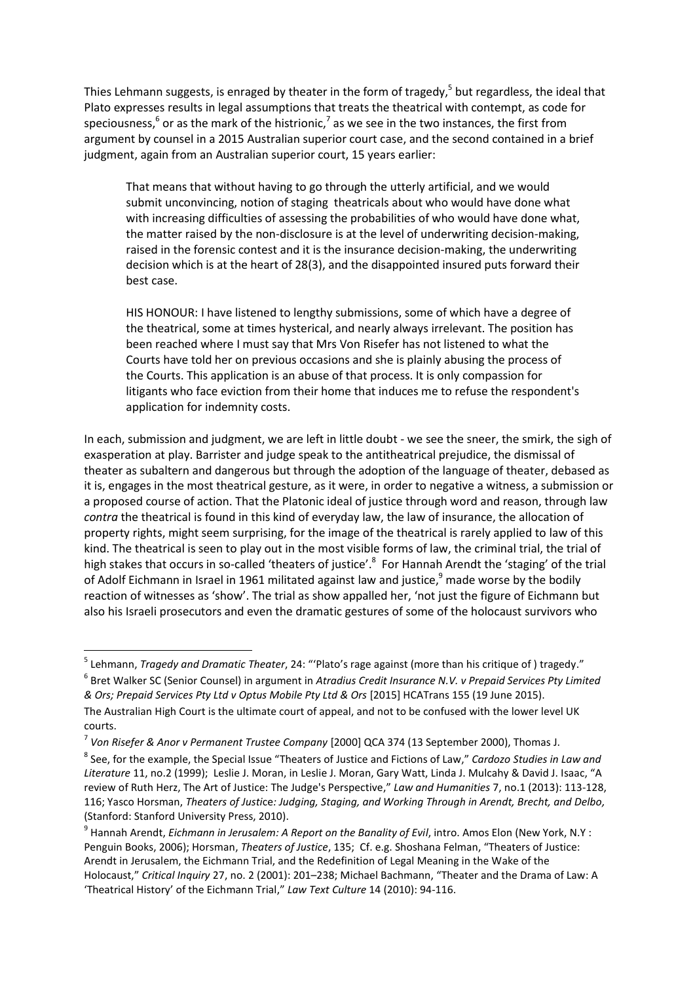Thies Lehmann suggests, is enraged by theater in the form of tragedy,<sup>5</sup> but regardless, the ideal that Plato expresses results in legal assumptions that treats the theatrical with contempt, as code for speciousness,<sup>6</sup> or as the mark of the histrionic,<sup>7</sup> as we see in the two instances, the first from argument by counsel in a 2015 Australian superior court case, and the second contained in a brief judgment, again from an Australian superior court, 15 years earlier:

That means that without having to go through the utterly artificial, and we would submit unconvincing, notion of staging theatricals about who would have done what with increasing difficulties of assessing the probabilities of who would have done what, the matter raised by the non-disclosure is at the level of underwriting decision-making, raised in the forensic contest and it is the insurance decision-making, the underwriting decision which is at the heart of 28(3), and the disappointed insured puts forward their best case.

HIS HONOUR: I have listened to lengthy submissions, some of which have a degree of the theatrical, some at times hysterical, and nearly always irrelevant. The position has been reached where I must say that Mrs Von Risefer has not listened to what the Courts have told her on previous occasions and she is plainly abusing the process of the Courts. This application is an abuse of that process. It is only compassion for litigants who face eviction from their home that induces me to refuse the respondent's application for indemnity costs.

In each, submission and judgment, we are left in little doubt - we see the sneer, the smirk, the sigh of exasperation at play. Barrister and judge speak to the antitheatrical prejudice, the dismissal of theater as subaltern and dangerous but through the adoption of the language of theater, debased as it is, engages in the most theatrical gesture, as it were, in order to negative a witness, a submission or a proposed course of action. That the Platonic ideal of justice through word and reason, through law *contra* the theatrical is found in this kind of everyday law, the law of insurance, the allocation of property rights, might seem surprising, for the image of the theatrical is rarely applied to law of this kind. The theatrical is seen to play out in the most visible forms of law, the criminal trial, the trial of high stakes that occurs in so-called 'theaters of justice'.<sup>8</sup> For Hannah Arendt the 'staging' of the trial of Adolf Eichmann in Israel in 1961 militated against law and justice, $9^9$  made worse by the bodily reaction of witnesses as 'show'. The trial as show appalled her, 'not just the figure of Eichmann but also his Israeli prosecutors and even the dramatic gestures of some of the holocaust survivors who

1

<sup>5</sup> Lehmann, *Tragedy and Dramatic Theater*, 24: "'Plato's rage against (more than his critique of ) tragedy."

<sup>6</sup> Bret Walker SC (Senior Counsel) in argument in *Atradius Credit Insurance N.V. v Prepaid Services Pty Limited & Ors; Prepaid Services Pty Ltd v Optus Mobile Pty Ltd & Ors* [2015] HCATrans 155 (19 June 2015).

The Australian High Court is the ultimate court of appeal, and not to be confused with the lower level UK courts.

<sup>7</sup> *Von Risefer & Anor v Permanent Trustee Company* [2000] QCA 374 (13 September 2000), Thomas J.

<sup>8</sup> See, for the example, the Special Issue "Theaters of Justice and Fictions of Law," *Cardozo Studies in Law and Literature* 11, no.2 (1999); Leslie J. Moran, in Leslie J. Moran, Gary Watt, Linda J. Mulcahy & David J. Isaac, "A review of Ruth Herz, The Art of Justice: The Judge's Perspective," *Law and Humanities* 7, no.1 (2013): 113-128, 116; Yasco Horsman, *Theaters of Justi*ce*: Judging, Staging, and Working Through in Arendt, Brecht, and Delbo,* (Stanford: Stanford University Press, 2010).

<sup>9</sup> Hannah Arendt, *Eichmann in Jerusalem: A Report on the Banality of Evil*, intro. Amos Elon (New York, N.Y : Penguin Books, 2006); Horsman, *Theaters of Justice*, 135; Cf. e.g. Shoshana Felman, "Theaters of Justice: Arendt in Jerusalem, the Eichmann Trial, and the Redefinition of Legal Meaning in the Wake of the Holocaust," *Critical Inquiry* 27, no. 2 (2001): 201–238; Michael Bachmann, "Theater and the Drama of Law: A 'Theatrical History' of the Eichmann Trial," *Law Text Culture* 14 (2010): 94-116.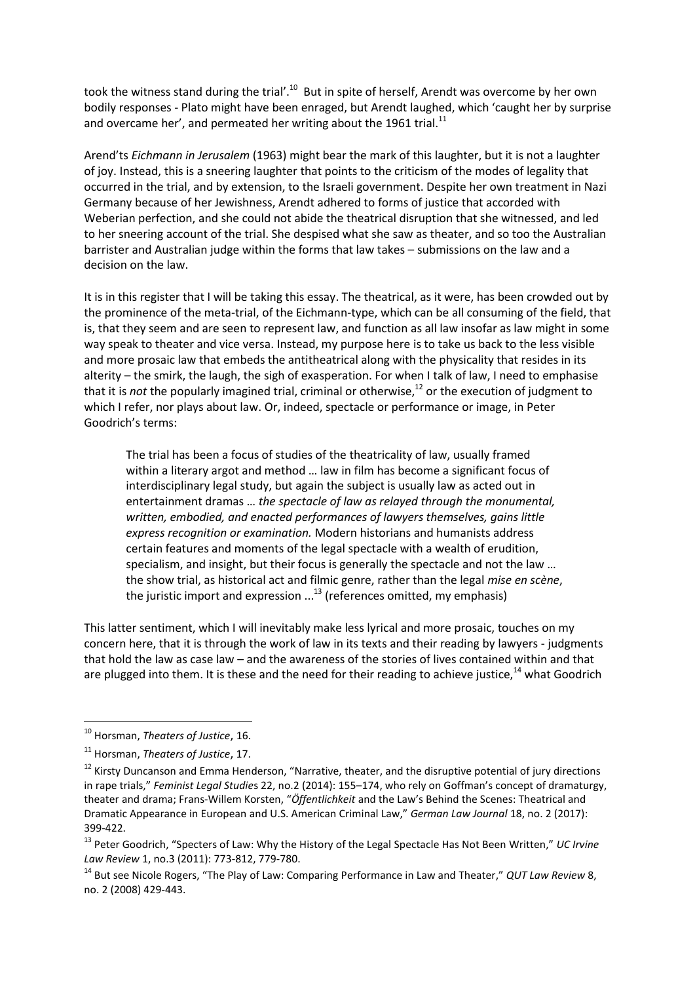took the witness stand during the trial'.<sup>10</sup> But in spite of herself, Arendt was overcome by her own bodily responses - Plato might have been enraged, but Arendt laughed, which 'caught her by surprise and overcame her', and permeated her writing about the 1961 trial. $^{11}$ 

Arend'ts *Eichmann in Jerusalem* (1963) might bear the mark of this laughter, but it is not a laughter of joy. Instead, this is a sneering laughter that points to the criticism of the modes of legality that occurred in the trial, and by extension, to the Israeli government. Despite her own treatment in Nazi Germany because of her Jewishness, Arendt adhered to forms of justice that accorded with Weberian perfection, and she could not abide the theatrical disruption that she witnessed, and led to her sneering account of the trial. She despised what she saw as theater, and so too the Australian barrister and Australian judge within the forms that law takes – submissions on the law and a decision on the law.

It is in this register that I will be taking this essay. The theatrical, as it were, has been crowded out by the prominence of the meta-trial, of the Eichmann-type, which can be all consuming of the field, that is, that they seem and are seen to represent law, and function as all law insofar as law might in some way speak to theater and vice versa. Instead, my purpose here is to take us back to the less visible and more prosaic law that embeds the antitheatrical along with the physicality that resides in its alterity – the smirk, the laugh, the sigh of exasperation. For when I talk of law, I need to emphasise that it is *not* the popularly imagined trial, criminal or otherwise,<sup>12</sup> or the execution of judgment to which I refer, nor plays about law. Or, indeed, spectacle or performance or image, in Peter Goodrich's terms:

The trial has been a focus of studies of the theatricality of law, usually framed within a literary argot and method … law in film has become a significant focus of interdisciplinary legal study, but again the subject is usually law as acted out in entertainment dramas … *the spectacle of law as relayed through the monumental, written, embodied, and enacted performances of lawyers themselves, gains little express recognition or examination.* Modern historians and humanists address certain features and moments of the legal spectacle with a wealth of erudition, specialism, and insight, but their focus is generally the spectacle and not the law … the show trial, as historical act and filmic genre, rather than the legal *mise en scène*, the juristic import and expression  $...^{13}$  (references omitted, my emphasis)

This latter sentiment, which I will inevitably make less lyrical and more prosaic, touches on my concern here, that it is through the work of law in its texts and their reading by lawyers - judgments that hold the law as case law – and the awareness of the stories of lives contained within and that are plugged into them. It is these and the need for their reading to achieve justice, $14$  what Goodrich

**.** 

<sup>10</sup> Horsman, *Theaters of Justice*, 16.

<sup>11</sup> Horsman, *Theaters of Justice*, 17.

<sup>&</sup>lt;sup>12</sup> Kirsty Duncanson and Emma Henderson, "Narrative, theater, and the disruptive potential of jury directions in rape trials," *Feminist Legal Studie*s 22, no.2 (2014): 155–174, who rely on Goffman's concept of dramaturgy, theater and drama; Frans-Willem Korsten, "*Öffentlichkeit* and the Law's Behind the Scenes: Theatrical and Dramatic Appearance in European and U.S. American Criminal Law," *German Law Journal* 18, no. 2 (2017): 399-422.

<sup>13</sup> Peter Goodrich, "Specters of Law: Why the History of the Legal Spectacle Has Not Been Written," *UC Irvine Law Review* 1, no.3 (2011): 773-812, 779-780.

<sup>14</sup> But see Nicole Rogers, "The Play of Law: Comparing Performance in Law and Theater," *QUT Law Review* 8, no. 2 (2008) 429-443.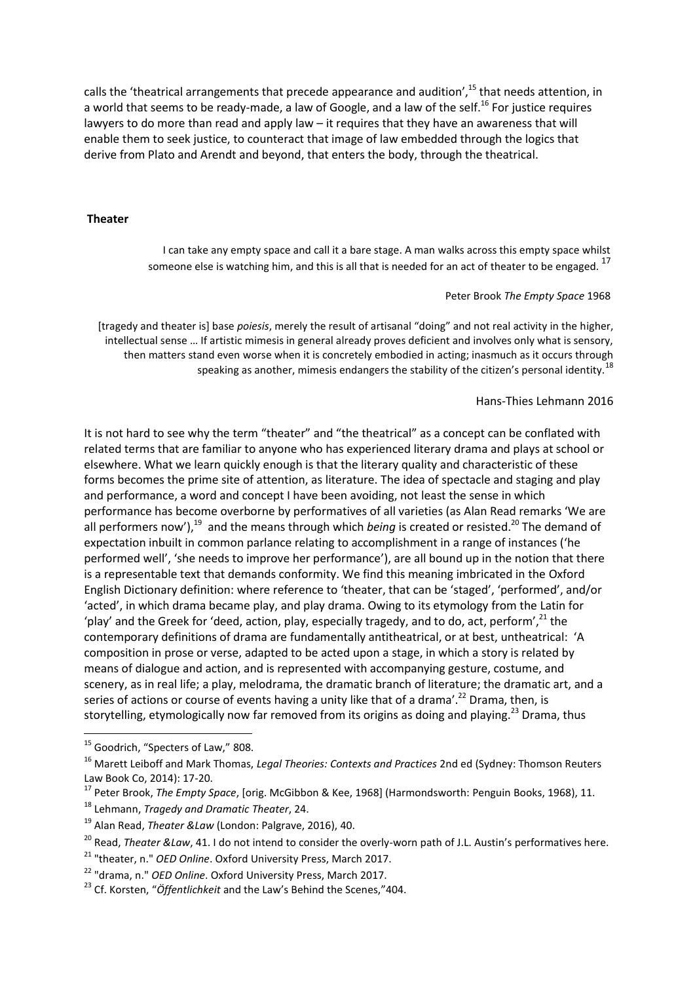calls the 'theatrical arrangements that precede appearance and audition',<sup>15</sup> that needs attention, in a world that seems to be ready-made, a law of Google, and a law of the self.<sup>16</sup> For justice requires lawyers to do more than read and apply law – it requires that they have an awareness that will enable them to seek justice, to counteract that image of law embedded through the logics that derive from Plato and Arendt and beyond, that enters the body, through the theatrical.

## **Theater**

I can take any empty space and call it a bare stage. A man walks across this empty space whilst someone else is watching him, and this is all that is needed for an act of theater to be engaged.<sup>17</sup>

#### Peter Brook *The Empty Space* 1968

[tragedy and theater is] base *poiesis*, merely the result of artisanal "doing" and not real activity in the higher, intellectual sense … If artistic mimesis in general already proves deficient and involves only what is sensory, then matters stand even worse when it is concretely embodied in acting; inasmuch as it occurs through speaking as another, mimesis endangers the stability of the citizen's personal identity.<sup>18</sup>

## Hans-Thies Lehmann 2016

It is not hard to see why the term "theater" and "the theatrical" as a concept can be conflated with related terms that are familiar to anyone who has experienced literary drama and plays at school or elsewhere. What we learn quickly enough is that the literary quality and characteristic of these forms becomes the prime site of attention, as literature. The idea of spectacle and staging and play and performance, a word and concept I have been avoiding, not least the sense in which performance has become overborne by performatives of all varieties (as Alan Read remarks 'We are all performers now'),<sup>19</sup> and the means through which *being* is created or resisted.<sup>20</sup> The demand of expectation inbuilt in common parlance relating to accomplishment in a range of instances ('he performed well', 'she needs to improve her performance'), are all bound up in the notion that there is a representable text that demands conformity. We find this meaning imbricated in the Oxford English Dictionary definition: where reference to 'theater, that can be 'staged', 'performed', and/or 'acted', in which drama became play, and play drama. Owing to its etymology from the Latin for 'play' and the Greek for 'deed, action, play, especially tragedy, and to do, act, perform',<sup>21</sup> the contemporary definitions of drama are fundamentally antitheatrical, or at best, untheatrical: 'A composition in prose or verse, adapted to be acted upon a stage, in which a story is related by means of dialogue and action, and is represented with accompanying gesture, costume, and scenery, as in real life; a play, melodrama, the dramatic branch of literature; the dramatic art, and a series of actions or course of events having a unity like that of a drama'.<sup>22</sup> Drama, then, is storytelling, etymologically now far removed from its origins as doing and playing.<sup>23</sup> Drama, thus

1

<sup>&</sup>lt;sup>15</sup> Goodrich, "Specters of Law," 808.

<sup>16</sup> Marett Leiboff and Mark Thomas, *Legal Theories: Contexts and Practices* 2nd ed (Sydney: Thomson Reuters Law Book Co, 2014): 17-20.

<sup>17</sup> Peter Brook, *The Empty Space*, [orig. McGibbon & Kee, 1968] (Harmondsworth: Penguin Books, 1968), 11.

<sup>18</sup> Lehmann, *Tragedy and Dramatic Theater*, 24.

<sup>19</sup> Alan Read, *Theater &Law* (London: Palgrave, 2016), 40.

<sup>20</sup> Read, *Theater &Law*, 41. I do not intend to consider the overly-worn path of J.L. Austin's performatives here.

<sup>21</sup> "theater, n." *OED Online*. Oxford University Press, March 2017.

<sup>22</sup> "drama, n." *OED Online*. Oxford University Press, March 2017.

<sup>23</sup> Cf. Korsten, "*Öffentlichkeit* and the Law's Behind the Scenes,"404.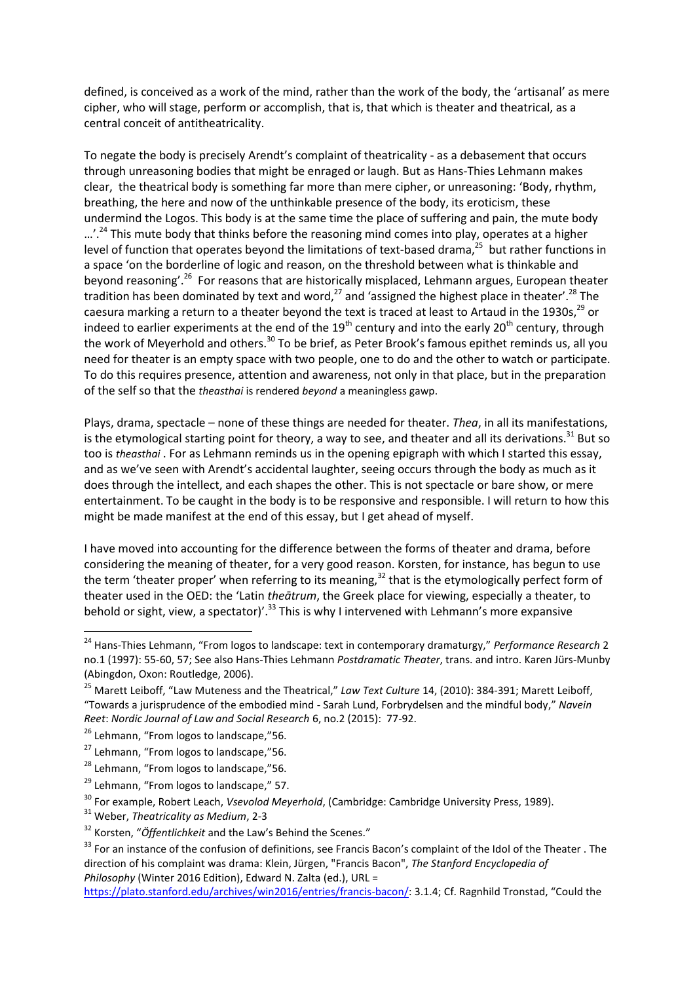defined, is conceived as a work of the mind, rather than the work of the body, the 'artisanal' as mere cipher, who will stage, perform or accomplish, that is, that which is theater and theatrical, as a central conceit of antitheatricality.

To negate the body is precisely Arendt's complaint of theatricality - as a debasement that occurs through unreasoning bodies that might be enraged or laugh. But as Hans-Thies Lehmann makes clear, the theatrical body is something far more than mere cipher, or unreasoning: 'Body, rhythm, breathing, the here and now of the unthinkable presence of the body, its eroticism, these undermind the Logos. This body is at the same time the place of suffering and pain, the mute body ...'.<sup>24</sup> This mute body that thinks before the reasoning mind comes into play, operates at a higher level of function that operates beyond the limitations of text-based drama,<sup>25</sup> but rather functions in a space 'on the borderline of logic and reason, on the threshold between what is thinkable and beyond reasoning'.<sup>26</sup> For reasons that are historically misplaced, Lehmann argues, European theater tradition has been dominated by text and word, $^{27}$  and 'assigned the highest place in theater'.<sup>28</sup> The caesura marking a return to a theater beyond the text is traced at least to Artaud in the 1930s,<sup>29</sup> or indeed to earlier experiments at the end of the 19<sup>th</sup> century and into the early 20<sup>th</sup> century, through the work of Meyerhold and others.<sup>30</sup> To be brief, as Peter Brook's famous epithet reminds us, all you need for theater is an empty space with two people, one to do and the other to watch or participate. To do this requires presence, attention and awareness, not only in that place, but in the preparation of the self so that the *theasthai* is rendered *beyond* a meaningless gawp.

Plays, drama, spectacle – none of these things are needed for theater. *Thea*, in all its manifestations, is the etymological starting point for theory, a way to see, and theater and all its derivations.<sup>31</sup> But so too is *theasthai* . For as Lehmann reminds us in the opening epigraph with which I started this essay, and as we've seen with Arendt's accidental laughter, seeing occurs through the body as much as it does through the intellect, and each shapes the other. This is not spectacle or bare show, or mere entertainment. To be caught in the body is to be responsive and responsible. I will return to how this might be made manifest at the end of this essay, but I get ahead of myself.

I have moved into accounting for the difference between the forms of theater and drama, before considering the meaning of theater, for a very good reason. Korsten, for instance, has begun to use the term 'theater proper' when referring to its meaning, $32$  that is the etymologically perfect form of theater used in the OED: the 'Latin *theātrum*, the Greek place for viewing, especially a theater, to behold or sight, view, a spectator)'.<sup>33</sup> This is why I intervened with Lehmann's more expansive

**.** 

[https://plato.stanford.edu/archives/win2016/entries/francis-bacon/:](https://plato.stanford.edu/archives/win2016/entries/francis-bacon/) 3.1.4; Cf. Ragnhild Tronstad, "Could the

<sup>24</sup> Hans-Thies Lehmann, "From logos to landscape: text in contemporary dramaturgy," *Performance Research* 2 no.1 (1997): 55-60, 57; See also Hans-Thies Lehmann *Postdramatic Theater*, trans. and intro. Karen Jürs-Munby (Abingdon, Oxon: Routledge, 2006).

<sup>25</sup> Marett Leiboff, "Law Muteness and the Theatrical," *Law Text Culture* 14, (2010): 384-391; Marett Leiboff, "Towards a jurisprudence of the embodied mind - Sarah Lund, Forbrydelsen and the mindful body," *Navein Reet*: *Nordic Journal of Law and Social Research* 6, no.2 (2015): 77-92.

<sup>&</sup>lt;sup>26</sup> Lehmann, "From logos to landscape,"56.

 $27$  Lehmann, "From logos to landscape,"56.

<sup>&</sup>lt;sup>28</sup> Lehmann, "From logos to landscape,"56.

 $29$  Lehmann, "From logos to landscape," 57.

<sup>30</sup> For example, Robert Leach, *Vsevolod Meyerhold*, (Cambridge: Cambridge University Press, 1989).

<sup>31</sup> Weber, *Theatricality as Medium*, 2-3

<sup>32</sup> Korsten, "*Öffentlichkeit* and the Law's Behind the Scenes."

<sup>&</sup>lt;sup>33</sup> For an instance of the confusion of definitions, see Francis Bacon's complaint of the Idol of the Theater . The direction of his complaint was drama: Klein, Jürgen, "Francis Bacon", *The Stanford Encyclopedia of Philosophy* (Winter 2016 Edition), Edward N. Zalta (ed.), URL =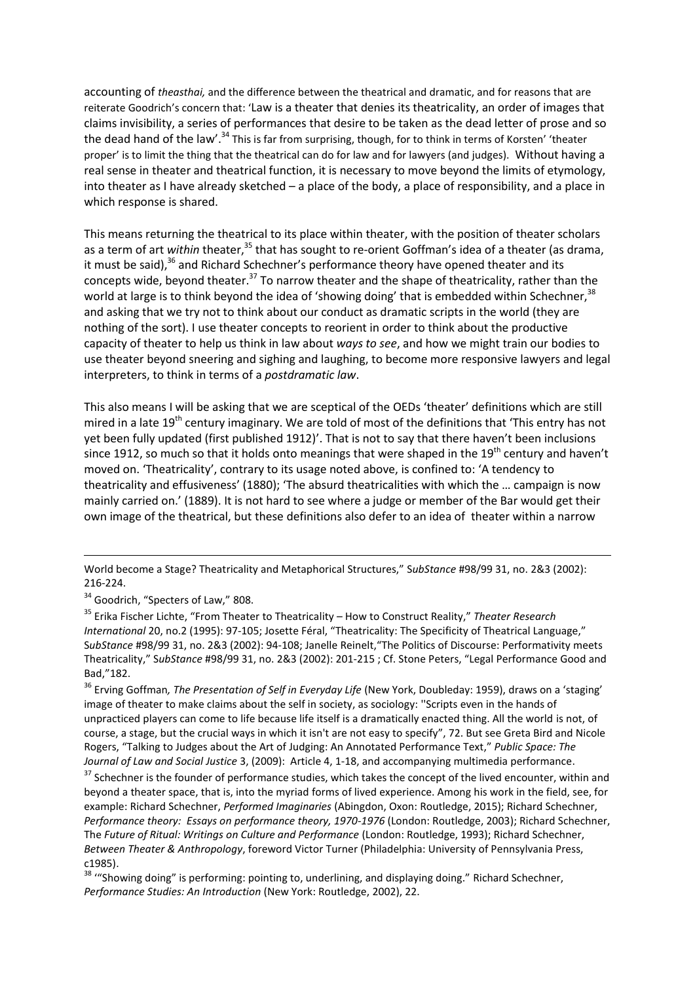accounting of *theasthai,* and the difference between the theatrical and dramatic, and for reasons that are reiterate Goodrich's concern that: 'Law is a theater that denies its theatricality, an order of images that claims invisibility, a series of performances that desire to be taken as the dead letter of prose and so the dead hand of the law'.<sup>34</sup> This is far from surprising, though, for to think in terms of Korsten' 'theater' proper' is to limit the thing that the theatrical can do for law and for lawyers (and judges). Without having a real sense in theater and theatrical function, it is necessary to move beyond the limits of etymology, into theater as I have already sketched – a place of the body, a place of responsibility, and a place in which response is shared.

This means returning the theatrical to its place within theater, with the position of theater scholars as a term of art *within* theater,<sup>35</sup> that has sought to re-orient Goffman's idea of a theater (as drama, it must be said),<sup>36</sup> and Richard Schechner's performance theory have opened theater and its concepts wide, beyond theater.<sup>37</sup> To narrow theater and the shape of theatricality, rather than the world at large is to think beyond the idea of 'showing doing' that is embedded within Schechner,<sup>38</sup> and asking that we try not to think about our conduct as dramatic scripts in the world (they are nothing of the sort). I use theater concepts to reorient in order to think about the productive capacity of theater to help us think in law about *ways to see*, and how we might train our bodies to use theater beyond sneering and sighing and laughing, to become more responsive lawyers and legal interpreters, to think in terms of a *postdramatic law*.

This also means I will be asking that we are sceptical of the OEDs 'theater' definitions which are still mired in a late  $19<sup>th</sup>$  century imaginary. We are told of most of the definitions that 'This entry has not yet been fully updated (first published 1912)'. That is not to say that there haven't been inclusions since 1912, so much so that it holds onto meanings that were shaped in the 19<sup>th</sup> century and haven't moved on. 'Theatricality', contrary to its usage noted above, is confined to: 'A tendency to theatricality and effusiveness' (1880); 'The absurd theatricalities with which the … campaign is now mainly carried on.' (1889). It is not hard to see where a judge or member of the Bar would get their own image of the theatrical, but these definitions also defer to an idea of theater within a narrow

World become a Stage? Theatricality and Metaphorical Structures," S*ubStance* #98/99 31, no. 2&3 (2002): 216-224.

<sup>34</sup> Goodrich, "Specters of Law," 808.

1

<sup>35</sup> Erika Fischer Lichte, "From Theater to Theatricality – How to Construct Reality," *Theater Research International* 20, no.2 (1995): 97-105; Josette Féral, "Theatricality: The Specificity of Theatrical Language," S*ubStance* #98/99 31, no. 2&3 (2002): 94-108; Janelle Reinelt,"The Politics of Discourse: Performativity meets Theatricality," S*ubStance* #98/99 31, no. 2&3 (2002): 201-215 ; Cf. Stone Peters, "Legal Performance Good and Bad,"182.

<sup>36</sup> Erving Goffman*, The Presentation of Self in Everyday Life* (New York, Doubleday: 1959), draws on a 'staging' image of theater to make claims about the self in society, as sociology: ''Scripts even in the hands of unpracticed players can come to life because life itself is a dramatically enacted thing. All the world is not, of course, a stage, but the crucial ways in which it isn't are not easy to specify", 72. But see Greta Bird and Nicole Rogers, "Talking to Judges about the Art of Judging: An Annotated Performance Text," *Public Space: The Journal of Law and Social Justice* 3, (2009): Article 4, 1-18, and accompanying multimedia performance.

<sup>37</sup> Schechner is the founder of performance studies, which takes the concept of the lived encounter, within and beyond a theater space, that is, into the myriad forms of lived experience. Among his work in the field, see, for example: Richard Schechner, *Performed Imaginaries* (Abingdon, Oxon: Routledge, 2015); Richard Schechner, *Performance theory: Essays on performance theory, 1970-1976* (London: Routledge, 2003); Richard Schechner, The *Future of Ritual: Writings on Culture and Performance* (London: Routledge, 1993); Richard Schechner, *Between Theater & Anthropology*, foreword Victor Turner (Philadelphia: University of Pennsylvania Press, c1985).

<sup>&</sup>lt;sup>38</sup> "Showing doing" is performing: pointing to, underlining, and displaying doing." Richard Schechner, *Performance Studies: An Introduction* (New York: Routledge, 2002), 22.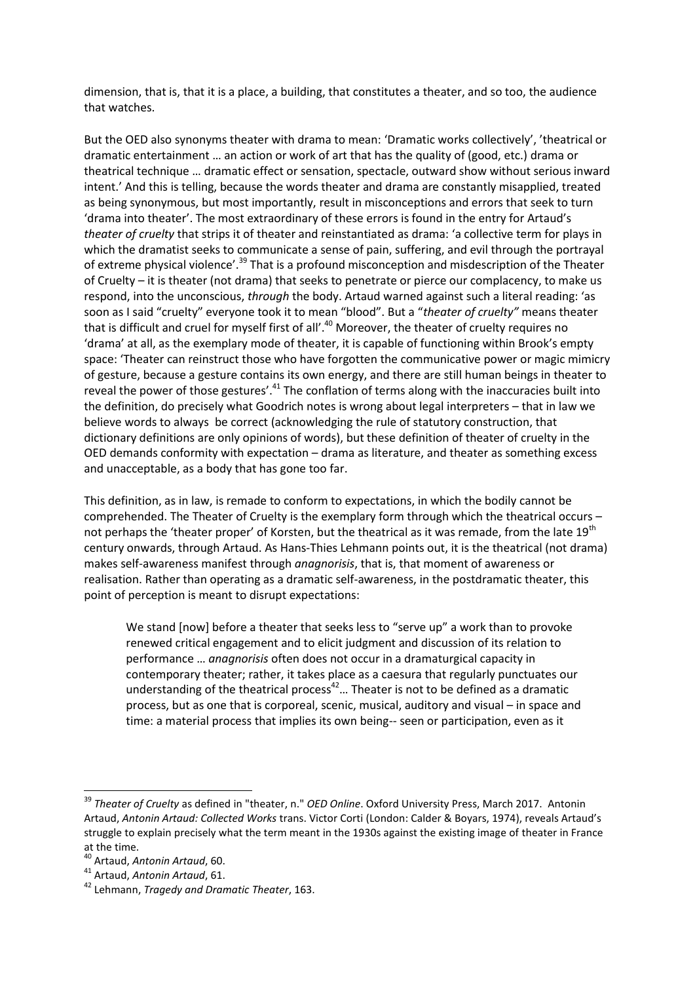dimension, that is, that it is a place, a building, that constitutes a theater, and so too, the audience that watches.

But the OED also synonyms theater with drama to mean: 'Dramatic works collectively', 'theatrical or dramatic entertainment … an action or work of art that has the quality of (good, etc.) drama or theatrical technique … dramatic effect or sensation, spectacle, outward show without serious inward intent.' And this is telling, because the words theater and drama are constantly misapplied, treated as being synonymous, but most importantly, result in misconceptions and errors that seek to turn 'drama into theater'. The most extraordinary of these errors is found in the entry for Artaud's *theater of cruelty* that strips it of theater and reinstantiated as drama: 'a collective term for plays in which the dramatist seeks to communicate a sense of pain, suffering, and evil through the portrayal of extreme physical violence'.<sup>39</sup> That is a profound misconception and misdescription of the Theater of Cruelty – it is theater (not drama) that seeks to penetrate or pierce our complacency, to make us respond, into the unconscious, *through* the body. Artaud warned against such a literal reading: 'as soon as I said "cruelty" everyone took it to mean "blood". But a "*theater of cruelty"* means theater that is difficult and cruel for myself first of all'.<sup>40</sup> Moreover, the theater of cruelty requires no 'drama' at all, as the exemplary mode of theater, it is capable of functioning within Brook's empty space: 'Theater can reinstruct those who have forgotten the communicative power or magic mimicry of gesture, because a gesture contains its own energy, and there are still human beings in theater to reveal the power of those gestures'.<sup>41</sup> The conflation of terms along with the inaccuracies built into the definition, do precisely what Goodrich notes is wrong about legal interpreters – that in law we believe words to always be correct (acknowledging the rule of statutory construction, that dictionary definitions are only opinions of words), but these definition of theater of cruelty in the OED demands conformity with expectation – drama as literature, and theater as something excess and unacceptable, as a body that has gone too far.

This definition, as in law, is remade to conform to expectations, in which the bodily cannot be comprehended. The Theater of Cruelty is the exemplary form through which the theatrical occurs – not perhaps the 'theater proper' of Korsten, but the theatrical as it was remade, from the late 19<sup>th</sup> century onwards, through Artaud. As Hans-Thies Lehmann points out, it is the theatrical (not drama) makes self-awareness manifest through *anagnorisis*, that is, that moment of awareness or realisation. Rather than operating as a dramatic self-awareness, in the postdramatic theater, this point of perception is meant to disrupt expectations:

We stand [now] before a theater that seeks less to "serve up" a work than to provoke renewed critical engagement and to elicit judgment and discussion of its relation to performance … *anagnorisis* often does not occur in a dramaturgical capacity in contemporary theater; rather, it takes place as a caesura that regularly punctuates our understanding of the theatrical process $42$ ... Theater is not to be defined as a dramatic process, but as one that is corporeal, scenic, musical, auditory and visual – in space and time: a material process that implies its own being-- seen or participation, even as it

**.** 

<sup>39</sup> *Theater of Cruelty* as defined in "theater, n." *OED Online*. Oxford University Press, March 2017. Antonin Artaud, *Antonin Artaud: Collected Works* trans. Victor Corti (London: Calder & Boyars, 1974), reveals Artaud's struggle to explain precisely what the term meant in the 1930s against the existing image of theater in France at the time.

<sup>40</sup> Artaud, *Antonin Artaud*, 60.

<sup>41</sup> Artaud, *Antonin Artaud*, 61.

<sup>42</sup> Lehmann, *Tragedy and Dramatic Theater*, 163.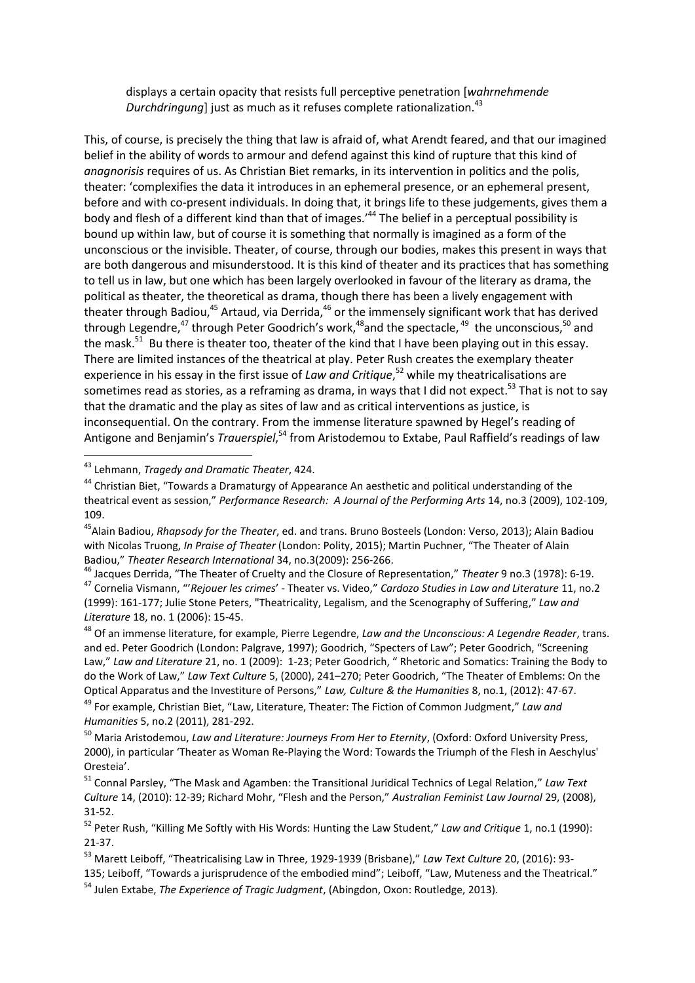displays a certain opacity that resists full perceptive penetration [*wahrnehmende Durchdringung*] just as much as it refuses complete rationalization.<sup>43</sup>

This, of course, is precisely the thing that law is afraid of, what Arendt feared, and that our imagined belief in the ability of words to armour and defend against this kind of rupture that this kind of *anagnorisis* requires of us. As Christian Biet remarks, in its intervention in politics and the polis, theater: 'complexifies the data it introduces in an ephemeral presence, or an ephemeral present, before and with co-present individuals. In doing that, it brings life to these judgements, gives them a body and flesh of a different kind than that of images.'<sup>44</sup> The belief in a perceptual possibility is bound up within law, but of course it is something that normally is imagined as a form of the unconscious or the invisible. Theater, of course, through our bodies, makes this present in ways that are both dangerous and misunderstood. It is this kind of theater and its practices that has something to tell us in law, but one which has been largely overlooked in favour of the literary as drama, the political as theater, the theoretical as drama, though there has been a lively engagement with theater through Badiou,<sup>45</sup> Artaud, via Derrida,<sup>46</sup> or the immensely significant work that has derived through Legendre,<sup>47</sup> through Peter Goodrich's work,<sup>48</sup>and the spectacle,<sup>49</sup> the unconscious,<sup>50</sup> and the mask.<sup>51</sup> Bu there is theater too, theater of the kind that I have been playing out in this essay. There are limited instances of the theatrical at play. Peter Rush creates the exemplary theater experience in his essay in the first issue of *Law and Critique*, <sup>52</sup> while my theatricalisations are sometimes read as stories, as a reframing as drama, in ways that I did not expect.<sup>53</sup> That is not to say that the dramatic and the play as sites of law and as critical interventions as justice, is inconsequential. On the contrary. From the immense literature spawned by Hegel's reading of Antigone and Benjamin's *Trauerspiel*,<sup>54</sup> from Aristodemou to Extabe, Paul Raffield's readings of law

 $\overline{\phantom{a}}$ 

<sup>46</sup> Jacques Derrida, "The Theater of Cruelty and the Closure of Representation," *Theater* 9 no.3 (1978): 6-19. <sup>47</sup> Cornelia Vismann, "'*Rejouer les crimes*' - Theater vs. Video," *Cardozo Studies in Law and Literature* 11, no.2 (1999): 161-177; Julie Stone Peters, "Theatricality, Legalism, and the Scenography of Suffering," *Law and Literature* 18, no. 1 (2006): 15-45.

<sup>48</sup> Of an immense literature, for example, Pierre Legendre, *Law and the Unconscious: A Legendre Reader*, trans. and ed. Peter Goodrich (London: Palgrave, 1997); Goodrich, "Specters of Law"; Peter Goodrich, "Screening Law," *Law and Literature* 21, no. 1 (2009): 1-23; Peter Goodrich, " Rhetoric and Somatics: Training the Body to do the Work of Law," *Law Text Culture* 5, (2000), 241–270; Peter Goodrich, "The Theater of Emblems: On the Optical Apparatus and the Investiture of Persons," *Law, Culture & the Humanities* 8, no.1, (2012): 47-67.

<sup>49</sup> For example, Christian Biet, "Law, Literature, Theater: The Fiction of Common Judgment," *Law and Humanities* 5, no.2 (2011), 281-292.

<sup>50</sup> Maria Aristodemou, *Law and Literature: Journeys From Her to Eternity*, (Oxford: Oxford University Press, 2000), in particular 'Theater as Woman Re-Playing the Word: Towards the Triumph of the Flesh in Aeschylus' Oresteia'.

<sup>43</sup> Lehmann, *Tragedy and Dramatic Theater*, 424.

<sup>&</sup>lt;sup>44</sup> Christian Biet, "Towards a Dramaturgy of Appearance An aesthetic and political understanding of the theatrical event as session," *Performance Research: A Journal of the Performing Arts* 14, no.3 (2009), 102-109, 109.

<sup>45</sup>Alain Badiou, *Rhapsody for the Theater*, ed. and trans. Bruno Bosteels (London: Verso, 2013); Alain Badiou with Nicolas Truong, *In Praise of Theater* (London: Polity, 2015); Martin Puchner, "The Theater of Alain Badiou," *Theater Research International* 34, no.3(2009): 256-266.

<sup>51</sup> Connal Parsley, "The Mask and Agamben: the Transitional Juridical Technics of Legal Relation," *Law Text Culture* 14, (2010): 12-39; Richard Mohr, "Flesh and the Person," *Australian Feminist Law Journal* 29, (2008), 31-52.

<sup>52</sup> Peter Rush, "Killing Me Softly with His Words: Hunting the Law Student," *Law and Critique* 1, no.1 (1990): 21-37.

<sup>53</sup> Marett Leiboff, "Theatricalising Law in Three, 1929-1939 (Brisbane)," *Law Text Culture* 20, (2016): 93- 135; Leiboff, "Towards a jurisprudence of the embodied mind"; Leiboff, "Law, Muteness and the Theatrical." <sup>54</sup> Julen Extabe, *The Experience of Tragic Judgment*, (Abingdon, Oxon: Routledge, 2013).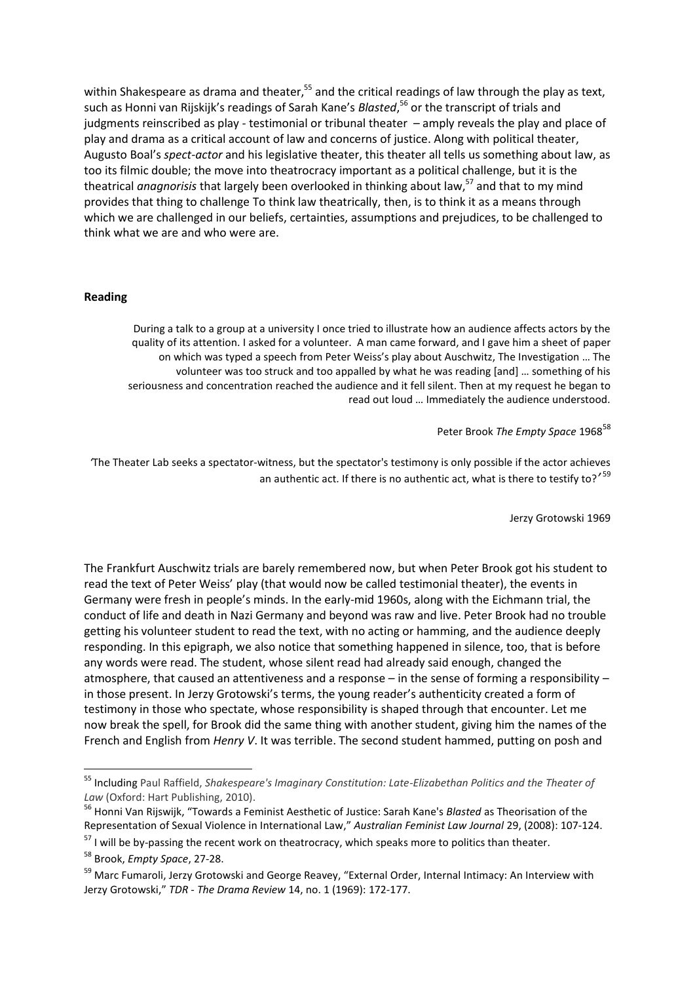within Shakespeare as drama and theater,<sup>55</sup> and the critical readings of law through the play as text, such as Honni van Rijskijk's readings of Sarah Kane's *Blasted*, <sup>56</sup> or the transcript of trials and judgments reinscribed as play - testimonial or tribunal theater – amply reveals the play and place of play and drama as a critical account of law and concerns of justice. Along with political theater, Augusto Boal's *spect-actor* and his legislative theater, this theater all tells us something about law, as too its filmic double; the move into theatrocracy important as a political challenge, but it is the theatrical *anagnorisis* that largely been overlooked in thinking about law, <sup>57</sup> and that to my mind provides that thing to challenge To think law theatrically, then, is to think it as a means through which we are challenged in our beliefs, certainties, assumptions and prejudices, to be challenged to think what we are and who were are.

## **Reading**

During a talk to a group at a university I once tried to illustrate how an audience affects actors by the quality of its attention. I asked for a volunteer. A man came forward, and I gave him a sheet of paper on which was typed a speech from Peter Weiss's play about Auschwitz, The Investigation … The volunteer was too struck and too appalled by what he was reading [and] … something of his seriousness and concentration reached the audience and it fell silent. Then at my request he began to read out loud … Immediately the audience understood*.*

# Peter Brook *The Empty Space* 1968<sup>58</sup>

*'*The Theater Lab seeks a spectator-witness, but the spectator's testimony is only possible if the actor achieves an authentic act. If there is no authentic act, what is there to testify to?*'* 59

Jerzy Grotowski 1969

The Frankfurt Auschwitz trials are barely remembered now, but when Peter Brook got his student to read the text of Peter Weiss' play (that would now be called testimonial theater), the events in Germany were fresh in people's minds. In the early-mid 1960s, along with the Eichmann trial, the conduct of life and death in Nazi Germany and beyond was raw and live. Peter Brook had no trouble getting his volunteer student to read the text, with no acting or hamming, and the audience deeply responding. In this epigraph, we also notice that something happened in silence, too, that is before any words were read. The student, whose silent read had already said enough, changed the atmosphere, that caused an attentiveness and a response – in the sense of forming a responsibility – in those present. In Jerzy Grotowski's terms, the young reader's authenticity created a form of testimony in those who spectate, whose responsibility is shaped through that encounter. Let me now break the spell, for Brook did the same thing with another student, giving him the names of the French and English from *Henry V*. It was terrible. The second student hammed, putting on posh and

1

<sup>55</sup> Including Paul Raffield, *Shakespeare's Imaginary Constitution: Late-Elizabethan Politics and the Theater of Law* (Oxford: Hart Publishing, 2010).

<sup>56</sup> Honni Van Rijswijk, "Towards a Feminist Aesthetic of Justice: Sarah Kane's *Blasted* as Theorisation of the Representation of Sexual Violence in International Law," *Australian Feminist Law Journal* 29, (2008): 107-124.

 $57$  I will be by-passing the recent work on theatrocracy, which speaks more to politics than theater.

<sup>58</sup> Brook, *Empty Space*, 27-28.

<sup>&</sup>lt;sup>59</sup> Marc Fumaroli, Jerzy Grotowski and George Reavey, "External Order, Internal Intimacy: An Interview with Jerzy Grotowski," *TDR - The Drama Review* 14, no. 1 (1969): 172-177.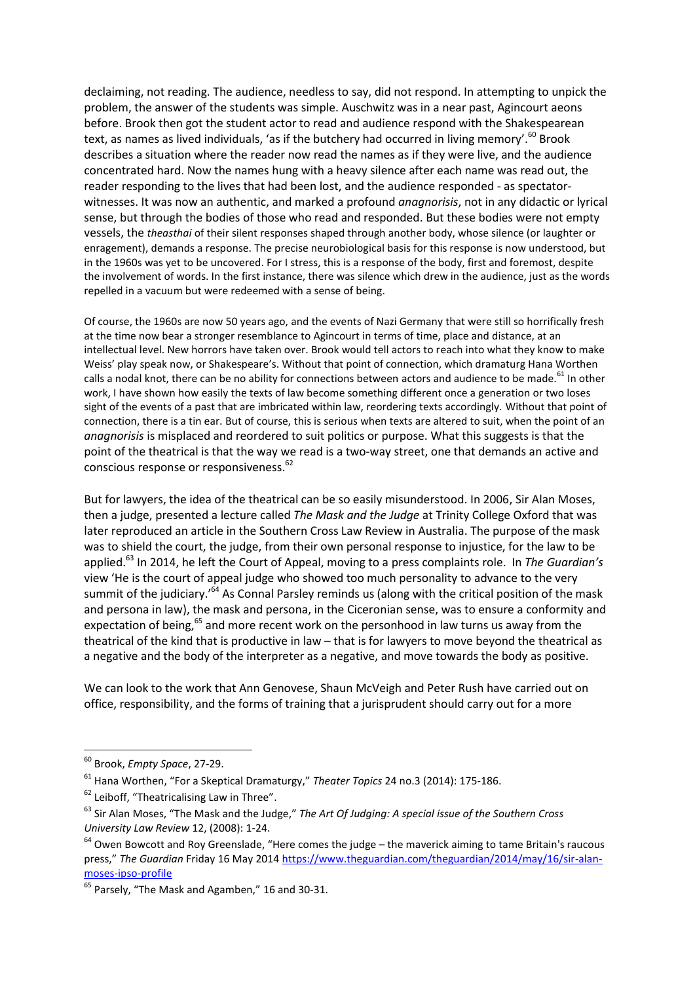declaiming, not reading. The audience, needless to say, did not respond. In attempting to unpick the problem, the answer of the students was simple. Auschwitz was in a near past, Agincourt aeons before. Brook then got the student actor to read and audience respond with the Shakespearean text, as names as lived individuals, 'as if the butchery had occurred in living memory'.<sup>60</sup> Brook describes a situation where the reader now read the names as if they were live, and the audience concentrated hard. Now the names hung with a heavy silence after each name was read out, the reader responding to the lives that had been lost, and the audience responded - as spectatorwitnesses. It was now an authentic, and marked a profound *anagnorisis*, not in any didactic or lyrical sense, but through the bodies of those who read and responded. But these bodies were not empty vessels, the *theasthai* of their silent responses shaped through another body, whose silence (or laughter or enragement), demands a response. The precise neurobiological basis for this response is now understood, but in the 1960s was yet to be uncovered. For I stress, this is a response of the body, first and foremost, despite the involvement of words. In the first instance, there was silence which drew in the audience, just as the words repelled in a vacuum but were redeemed with a sense of being.

Of course, the 1960s are now 50 years ago, and the events of Nazi Germany that were still so horrifically fresh at the time now bear a stronger resemblance to Agincourt in terms of time, place and distance, at an intellectual level. New horrors have taken over. Brook would tell actors to reach into what they know to make Weiss' play speak now, or Shakespeare's. Without that point of connection, which dramaturg Hana Worthen calls a nodal knot, there can be no ability for connections between actors and audience to be made.<sup>61</sup> In other work, I have shown how easily the texts of law become something different once a generation or two loses sight of the events of a past that are imbricated within law, reordering texts accordingly. Without that point of connection, there is a tin ear. But of course, this is serious when texts are altered to suit, when the point of an *anagnorisis* is misplaced and reordered to suit politics or purpose. What this suggests is that the point of the theatrical is that the way we read is a two-way street, one that demands an active and conscious response or responsiveness.<sup>62</sup>

But for lawyers, the idea of the theatrical can be so easily misunderstood. In 2006, Sir Alan Moses, then a judge, presented a lecture called *The Mask and the Judge* at Trinity College Oxford that was later reproduced an article in the Southern Cross Law Review in Australia. The purpose of the mask was to shield the court, the judge, from their own personal response to injustice, for the law to be applied.<sup>63</sup> In 2014, he left the Court of Appeal, moving to a press complaints role. In *The Guardian's* view 'He is the court of appeal judge who showed too much personality to advance to the very summit of the judiciary.'<sup>64</sup> As Connal Parsley reminds us (along with the critical position of the mask and persona in law), the mask and persona, in the Ciceronian sense, was to ensure a conformity and expectation of being,<sup>65</sup> and more recent work on the personhood in law turns us away from the theatrical of the kind that is productive in law – that is for lawyers to move beyond the theatrical as a negative and the body of the interpreter as a negative, and move towards the body as positive.

We can look to the work that Ann Genovese, Shaun McVeigh and Peter Rush have carried out on office, responsibility, and the forms of training that a jurisprudent should carry out for a more

**.** 

<sup>60</sup> Brook, *Empty Space*, 27-29.

<sup>61</sup> Hana Worthen, "For a Skeptical Dramaturgy," *Theater Topics* 24 no.3 (2014): 175-186.

 $62$  Leiboff, "Theatricalising Law in Three".

<sup>63</sup> Sir Alan Moses, "The Mask and the Judge," *The Art Of Judging: A special issue of the Southern Cross University Law Review* 12, (2008): 1-24.

<sup>&</sup>lt;sup>64</sup> Owen Bowcott and Roy Greenslade, "Here comes the judge – the maverick aiming to tame Britain's raucous press," *The Guardian* Friday 16 May 2014 [https://www.theguardian.com/theguardian/2014/may/16/sir-alan](https://www.theguardian.com/theguardian/2014/may/16/sir-alan-moses-ipso-profile)[moses-ipso-profile](https://www.theguardian.com/theguardian/2014/may/16/sir-alan-moses-ipso-profile)

<sup>&</sup>lt;sup>65</sup> Parsely, "The Mask and Agamben," 16 and 30-31.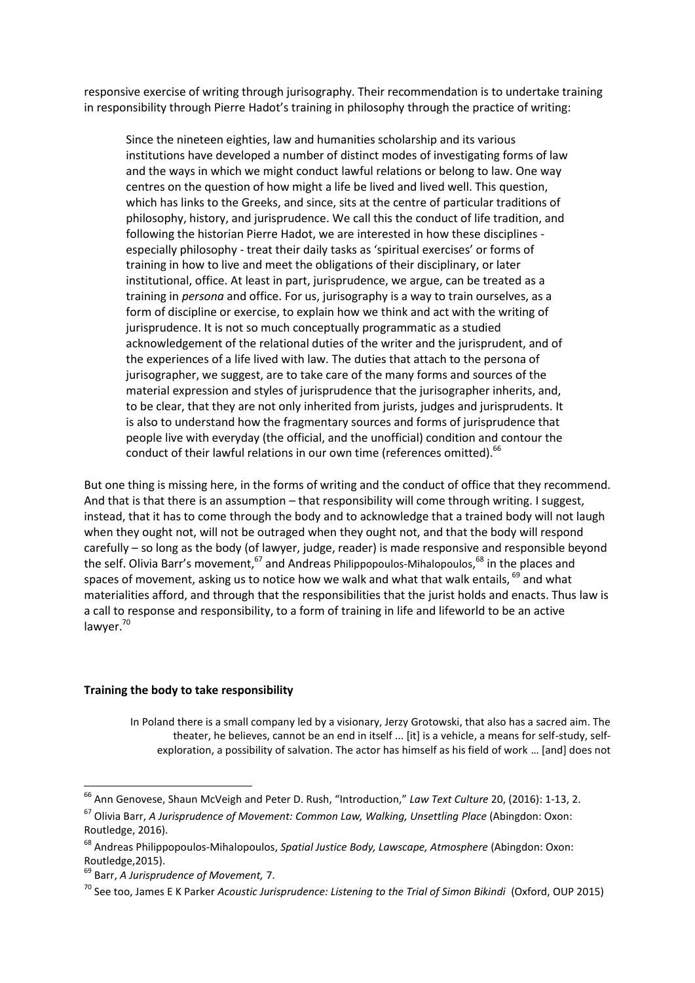responsive exercise of writing through jurisography. Their recommendation is to undertake training in responsibility through Pierre Hadot's training in philosophy through the practice of writing:

Since the nineteen eighties, law and humanities scholarship and its various institutions have developed a number of distinct modes of investigating forms of law and the ways in which we might conduct lawful relations or belong to law. One way centres on the question of how might a life be lived and lived well. This question, which has links to the Greeks, and since, sits at the centre of particular traditions of philosophy, history, and jurisprudence. We call this the conduct of life tradition, and following the historian Pierre Hadot, we are interested in how these disciplines especially philosophy - treat their daily tasks as 'spiritual exercises' or forms of training in how to live and meet the obligations of their disciplinary, or later institutional, office. At least in part, jurisprudence, we argue, can be treated as a training in *persona* and office. For us, jurisography is a way to train ourselves, as a form of discipline or exercise, to explain how we think and act with the writing of jurisprudence. It is not so much conceptually programmatic as a studied acknowledgement of the relational duties of the writer and the jurisprudent, and of the experiences of a life lived with law. The duties that attach to the persona of jurisographer, we suggest, are to take care of the many forms and sources of the material expression and styles of jurisprudence that the jurisographer inherits, and, to be clear, that they are not only inherited from jurists, judges and jurisprudents. It is also to understand how the fragmentary sources and forms of jurisprudence that people live with everyday (the official, and the unofficial) condition and contour the conduct of their lawful relations in our own time (references omitted).<sup>66</sup>

But one thing is missing here, in the forms of writing and the conduct of office that they recommend. And that is that there is an assumption – that responsibility will come through writing. I suggest, instead, that it has to come through the body and to acknowledge that a trained body will not laugh when they ought not, will not be outraged when they ought not, and that the body will respond carefully – so long as the body (of lawyer, judge, reader) is made responsive and responsible beyond the self. Olivia Barr's movement, <sup>67</sup> and Andreas Philippopoulos-Mihalopoulos, <sup>68</sup> in the places and spaces of movement, asking us to notice how we walk and what that walk entails,  $^{69}$  and what materialities afford, and through that the responsibilities that the jurist holds and enacts. Thus law is a call to response and responsibility, to a form of training in life and lifeworld to be an active lawyer.<sup>70</sup>

## **Training the body to take responsibility**

In Poland there is a small company led by a visionary, Jerzy Grotowski, that also has a sacred aim. The theater, he believes, cannot be an end in itself ... [it] is a vehicle, a means for self-study, selfexploration, a possibility of salvation. The actor has himself as his field of work … [and] does not

 $\overline{\phantom{a}}$ 

<sup>66</sup> Ann Genovese, Shaun McVeigh and Peter D. Rush, "Introduction," *Law Text Culture* 20, (2016): 1-13, 2. <sup>67</sup> Olivia Barr, *A Jurisprudence of Movement: Common Law, Walking, Unsettling Place* (Abingdon: Oxon:

Routledge, 2016).

<sup>68</sup> Andreas Philippopoulos-Mihalopoulos, *Spatial Justice Body, Lawscape, Atmosphere* (Abingdon: Oxon: Routledge,2015).

<sup>69</sup> Barr, *A Jurisprudence of Movement,* 7.

<sup>70</sup> See too, James E K Parker *Acoustic Jurisprudence: Listening to the Trial of Simon Bikindi* (Oxford, OUP 2015)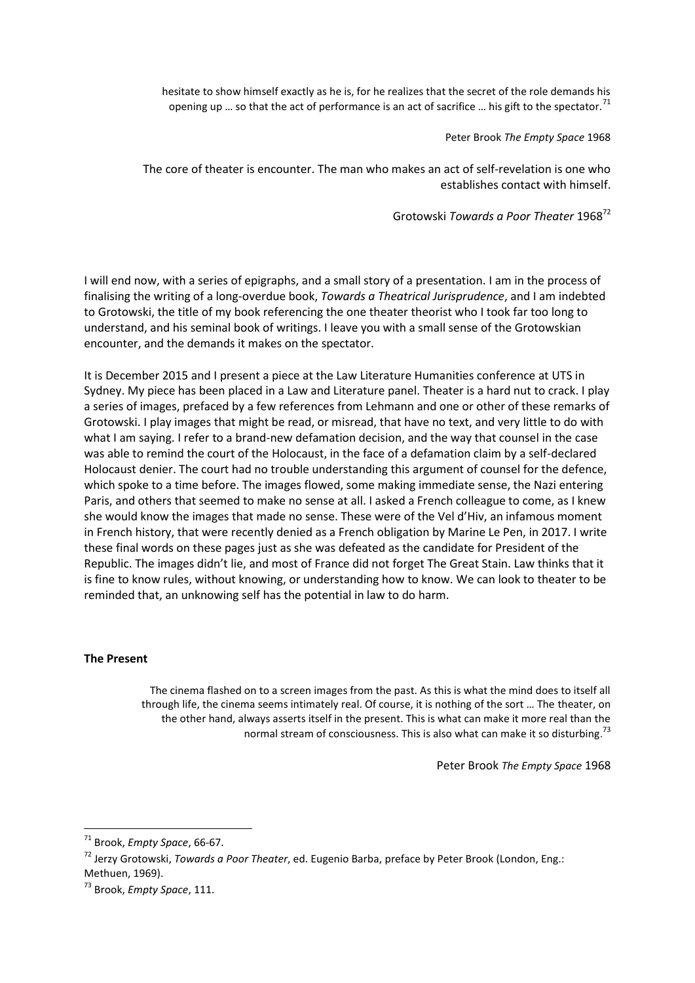hesitate to show himself exactly as he is, for he realizes that the secret of the role demands his opening up ... so that the act of performance is an act of sacrifice ... his gift to the spectator.<sup>71</sup>

Peter Brook *The Empty Space* 1968

The core of theater is encounter. The man who makes an act of self-revelation is one who establishes contact with himself.

Grotowski *Towards a Poor Theater* 1968<sup>72</sup>

I will end now, with a series of epigraphs, and a small story of a presentation. I am in the process of finalising the writing of a long-overdue book, *Towards a Theatrical Jurisprudence*, and I am indebted to Grotowski, the title of my book referencing the one theater theorist who I took far too long to understand, and his seminal book of writings. I leave you with a small sense of the Grotowskian encounter, and the demands it makes on the spectator.

It is December 2015 and I present a piece at the Law Literature Humanities conference at UTS in Sydney. My piece has been placed in a Law and Literature panel. Theater is a hard nut to crack. I play a series of images, prefaced by a few references from Lehmann and one or other of these remarks of Grotowski. I play images that might be read, or misread, that have no text, and very little to do with what I am saying. I refer to a brand-new defamation decision, and the way that counsel in the case was able to remind the court of the Holocaust, in the face of a defamation claim by a self-declared Holocaust denier. The court had no trouble understanding this argument of counsel for the defence, which spoke to a time before. The images flowed, some making immediate sense, the Nazi entering Paris, and others that seemed to make no sense at all. I asked a French colleague to come, as I knew she would know the images that made no sense. These were of the Vel d'Hiv, an infamous moment in French history, that were recently denied as a French obligation by Marine Le Pen, in 2017. I write these final words on these pages just as she was defeated as the candidate for President of the Republic. The images didn't lie, and most of France did not forget The Great Stain. Law thinks that it is fine to know rules, without knowing, or understanding how to know. We can look to theater to be reminded that, an unknowing self has the potential in law to do harm.

## **The Present**

**.** 

The cinema flashed on to a screen images from the past. As this is what the mind does to itself all through life, the cinema seems intimately real. Of course, it is nothing of the sort … The theater, on the other hand, always asserts itself in the present. This is what can make it more real than the normal stream of consciousness. This is also what can make it so disturbing.<sup>73</sup>

Peter Brook *The Empty Space* 1968

<sup>72</sup> Jerzy Grotowski, *Towards a Poor Theater*, ed. Eugenio Barba, preface by Peter Brook (London, Eng.: Methuen, 1969).

<sup>71</sup> Brook, *Empty Space*, 66-67.

<sup>73</sup> Brook, *Empty Space*, 111.